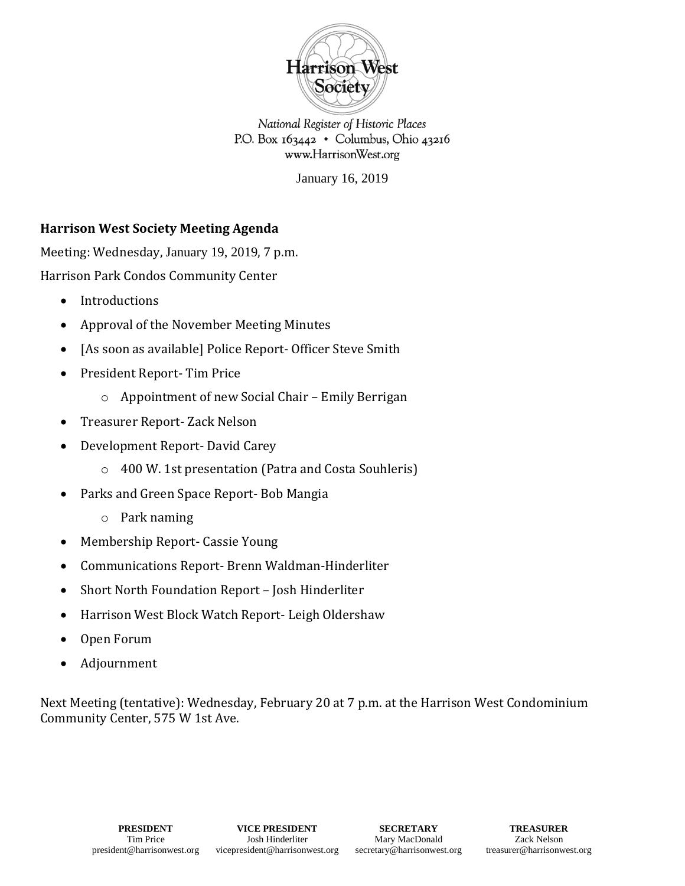

National Register of Historic Places P.O. Box  $163442 \cdot$  Columbus, Ohio 43216 www.HarrisonWest.org

January 16, 2019

## **Harrison West Society Meeting Agenda**

Meeting: Wednesday, January 19, 2019, 7 p.m. Harrison Park Condos Community Center

- Introductions
- Approval of the November Meeting Minutes
- [As soon as available] Police Report- Officer Steve Smith
- President Report- Tim Price
	- o Appointment of new Social Chair Emily Berrigan
- Treasurer Report- Zack Nelson
- Development Report- David Carey
	- o 400 W. 1st presentation (Patra and Costa Souhleris)
- Parks and Green Space Report- Bob Mangia
	- o Park naming
- Membership Report- Cassie Young
- Communications Report- Brenn Waldman-Hinderliter
- Short North Foundation Report Josh Hinderliter
- Harrison West Block Watch Report- Leigh Oldershaw
- Open Forum
- Adjournment

Next Meeting (tentative): Wednesday, February 20 at 7 p.m. at the Harrison West Condominium Community Center, 575 W 1st Ave.